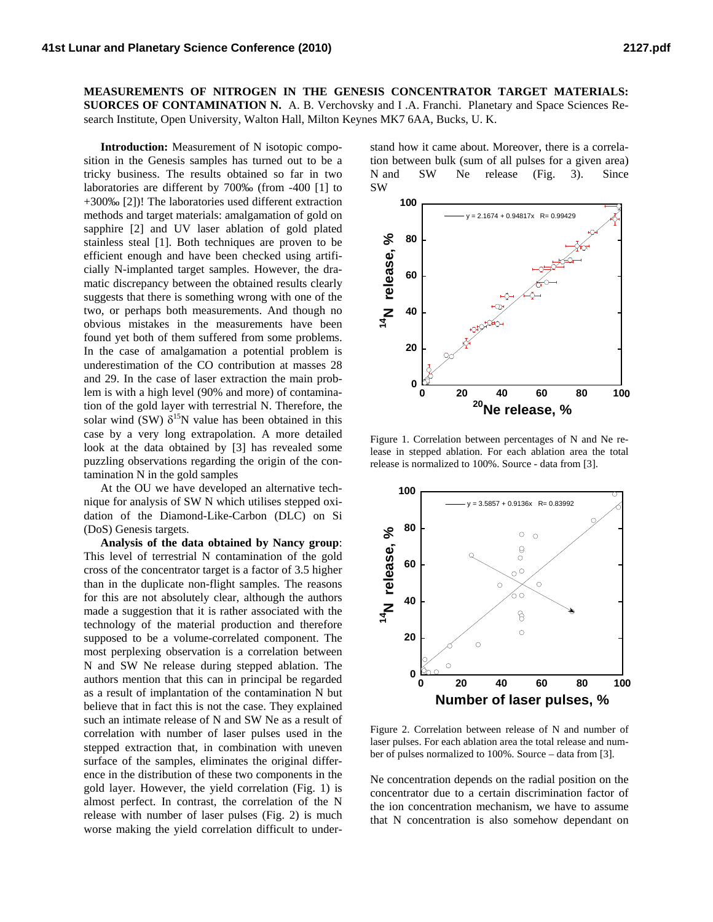**MEASUREMENTS OF NITROGEN IN THE GENESIS CONCENTRATOR TARGET MATERIALS: SUORCES OF CONTAMINATION N.** A. B. Verchovsky and I .A. Franchi. Planetary and Space Sciences Research Institute, Open University, Walton Hall, Milton Keynes MK7 6AA, Bucks, U. K.

**Introduction:** Measurement of N isotopic composition in the Genesis samples has turned out to be a tricky business. The results obtained so far in two laboratories are different by 700‰ (from -400 [1] to +300‰ [2])! The laboratories used different extraction methods and target materials: amalgamation of gold on sapphire [2] and UV laser ablation of gold plated stainless steal [1]. Both techniques are proven to be efficient enough and have been checked using artificially N-implanted target samples. However, the dramatic discrepancy between the obtained results clearly suggests that there is something wrong with one of the two, or perhaps both measurements. And though no obvious mistakes in the measurements have been found yet both of them suffered from some problems. In the case of amalgamation a potential problem is underestimation of the CO contribution at masses 28 and 29. In the case of laser extraction the main problem is with a high level (90% and more) of contamination of the gold layer with terrestrial N. Therefore, the solar wind (SW)  $\delta^{15}N$  value has been obtained in this case by a very long extrapolation. A more detailed look at the data obtained by [3] has revealed some puzzling observations regarding the origin of the contamination N in the gold samples

At the OU we have developed an alternative technique for analysis of SW N which utilises stepped oxidation of the Diamond-Like-Carbon (DLC) on Si (DoS) Genesis targets.

**Analysis of the data obtained by Nancy group**: This level of terrestrial N contamination of the gold cross of the concentrator target is a factor of 3.5 higher than in the duplicate non-flight samples. The reasons for this are not absolutely clear, although the authors made a suggestion that it is rather associated with the technology of the material production and therefore supposed to be a volume-correlated component. The most perplexing observation is a correlation between N and SW Ne release during stepped ablation. The authors mention that this can in principal be regarded as a result of implantation of the contamination N but believe that in fact this is not the case. They explained such an intimate release of N and SW Ne as a result of correlation with number of laser pulses used in the stepped extraction that, in combination with uneven surface of the samples, eliminates the original difference in the distribution of these two components in the gold layer. However, the yield correlation (Fig. 1) is almost perfect. In contrast, the correlation of the N release with number of laser pulses (Fig. 2) is much worse making the yield correlation difficult to under-

stand how it came about. Moreover, there is a correlation between bulk (sum of all pulses for a given area) N and SW Ne release (Fig. 3). Since SW



Figure 1. Correlation between percentages of N and Ne release in stepped ablation. For each ablation area the total release is normalized to 100%. Source - data from [3].



Figure 2. Correlation between release of N and number of laser pulses. For each ablation area the total release and number of pulses normalized to 100%. Source – data from [3].

Ne concentration depends on the radial position on the concentrator due to a certain discrimination factor of the ion concentration mechanism, we have to assume that N concentration is also somehow dependant on